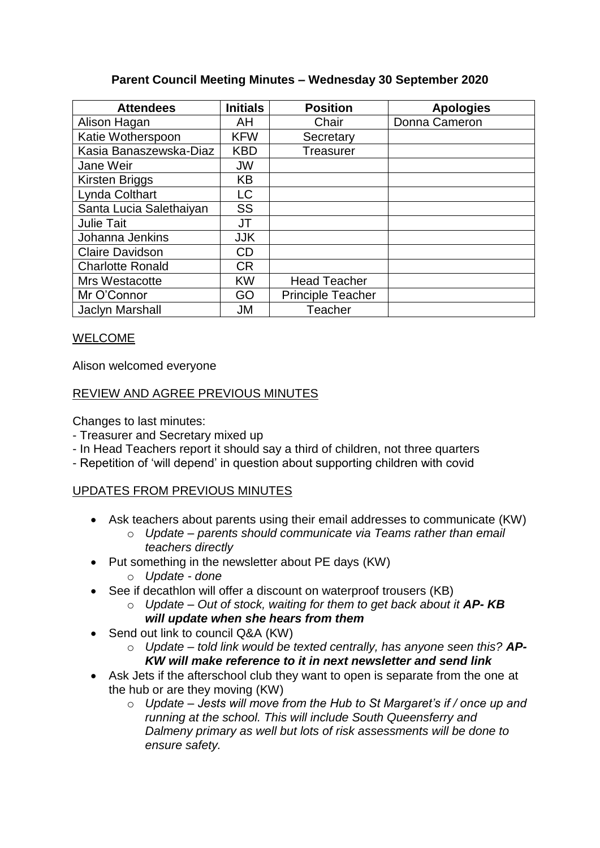## **Parent Council Meeting Minutes – Wednesday 30 September 2020**

| <b>Attendees</b>        | <b>Initials</b> | <b>Position</b>          | <b>Apologies</b> |
|-------------------------|-----------------|--------------------------|------------------|
| Alison Hagan            | AH              | Chair                    | Donna Cameron    |
| Katie Wotherspoon       | <b>KFW</b>      | Secretary                |                  |
| Kasia Banaszewska-Diaz  | <b>KBD</b>      | <b>Treasurer</b>         |                  |
| Jane Weir               | <b>JW</b>       |                          |                  |
| Kirsten Briggs          | <b>KB</b>       |                          |                  |
| Lynda Colthart          | LC              |                          |                  |
| Santa Lucia Salethaiyan | <b>SS</b>       |                          |                  |
| <b>Julie Tait</b>       | JT              |                          |                  |
| Johanna Jenkins         | <b>JJK</b>      |                          |                  |
| <b>Claire Davidson</b>  | CD              |                          |                  |
| <b>Charlotte Ronald</b> | <b>CR</b>       |                          |                  |
| Mrs Westacotte          | <b>KW</b>       | <b>Head Teacher</b>      |                  |
| Mr O'Connor             | GO              | <b>Principle Teacher</b> |                  |
| <b>Jaclyn Marshall</b>  | JM              | Teacher                  |                  |

# WELCOME

Alison welcomed everyone

## REVIEW AND AGREE PREVIOUS MINUTES

Changes to last minutes:

- Treasurer and Secretary mixed up
- In Head Teachers report it should say a third of children, not three quarters
- Repetition of 'will depend' in question about supporting children with covid

# UPDATES FROM PREVIOUS MINUTES

- Ask teachers about parents using their email addresses to communicate (KW)
	- o *Update – parents should communicate via Teams rather than email teachers directly*
- Put something in the newsletter about PE days (KW)
	- o *Update - done*
- See if decathlon will offer a discount on waterproof trousers (KB)
	- o *Update – Out of stock, waiting for them to get back about it AP- KB will update when she hears from them*
- Send out link to council Q&A (KW)
	- o *Update – told link would be texted centrally, has anyone seen this? AP-KW will make reference to it in next newsletter and send link*
- Ask Jets if the afterschool club they want to open is separate from the one at the hub or are they moving (KW)
	- o *Update – Jests will move from the Hub to St Margaret's if / once up and running at the school. This will include South Queensferry and Dalmeny primary as well but lots of risk assessments will be done to ensure safety.*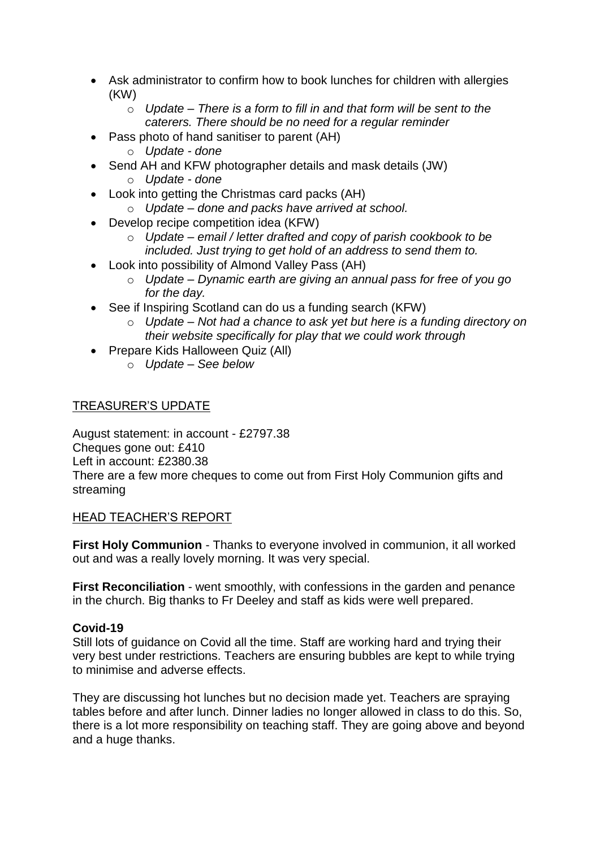- Ask administrator to confirm how to book lunches for children with allergies (KW)
	- o *Update – There is a form to fill in and that form will be sent to the caterers. There should be no need for a regular reminder*
- Pass photo of hand sanitiser to parent (AH)
	- o *Update - done*
- Send AH and KFW photographer details and mask details (JW)
	- o *Update - done*
- Look into getting the Christmas card packs (AH)
	- o *Update – done and packs have arrived at school.*
- Develop recipe competition idea (KFW)
	- o *Update – email / letter drafted and copy of parish cookbook to be included. Just trying to get hold of an address to send them to.*
- Look into possibility of Almond Valley Pass (AH)
	- o *Update – Dynamic earth are giving an annual pass for free of you go for the day.*
- See if Inspiring Scotland can do us a funding search (KFW)
	- o *Update – Not had a chance to ask yet but here is a funding directory on their website specifically for play that we could work through*
- Prepare Kids Halloween Quiz (All)
	- o *Update – See below*

# TREASURER'S UPDATE

August statement: in account - £2797.38 Cheques gone out: £410 Left in account: £2380.38 There are a few more cheques to come out from First Holy Communion gifts and streaming

# HEAD TEACHER'S REPORT

**First Holy Communion** - Thanks to everyone involved in communion, it all worked out and was a really lovely morning. It was very special.

**First Reconciliation** - went smoothly, with confessions in the garden and penance in the church. Big thanks to Fr Deeley and staff as kids were well prepared.

# **Covid-19**

Still lots of guidance on Covid all the time. Staff are working hard and trying their very best under restrictions. Teachers are ensuring bubbles are kept to while trying to minimise and adverse effects.

They are discussing hot lunches but no decision made yet. Teachers are spraying tables before and after lunch. Dinner ladies no longer allowed in class to do this. So, there is a lot more responsibility on teaching staff. They are going above and beyond and a huge thanks.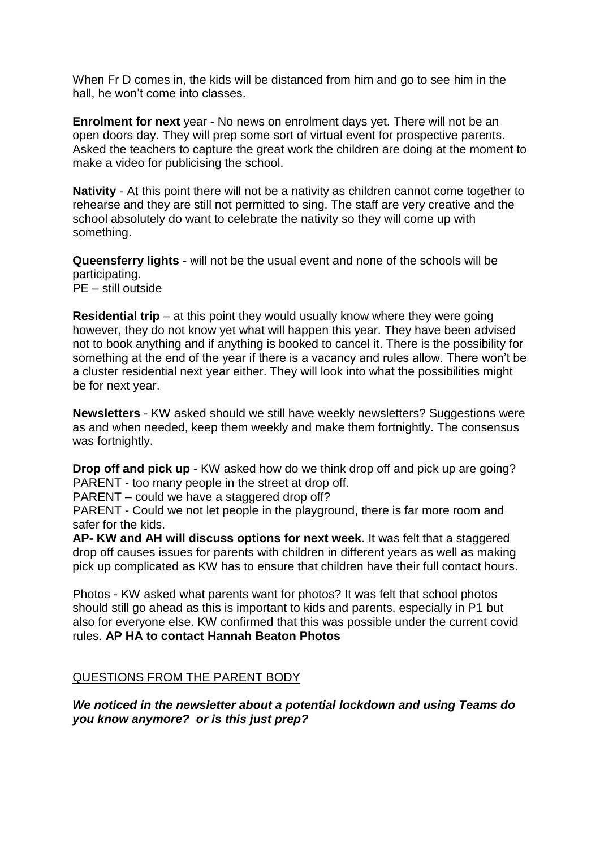When Fr D comes in, the kids will be distanced from him and go to see him in the hall, he won't come into classes.

**Enrolment for next** year - No news on enrolment days yet. There will not be an open doors day. They will prep some sort of virtual event for prospective parents. Asked the teachers to capture the great work the children are doing at the moment to make a video for publicising the school.

**Nativity** - At this point there will not be a nativity as children cannot come together to rehearse and they are still not permitted to sing. The staff are very creative and the school absolutely do want to celebrate the nativity so they will come up with something.

**Queensferry lights** - will not be the usual event and none of the schools will be participating.

PE – still outside

**Residential trip** – at this point they would usually know where they were going however, they do not know yet what will happen this year. They have been advised not to book anything and if anything is booked to cancel it. There is the possibility for something at the end of the year if there is a vacancy and rules allow. There won't be a cluster residential next year either. They will look into what the possibilities might be for next year.

**Newsletters** - KW asked should we still have weekly newsletters? Suggestions were as and when needed, keep them weekly and make them fortnightly. The consensus was fortnightly.

**Drop off and pick up** - KW asked how do we think drop off and pick up are going? PARENT - too many people in the street at drop off.

PARENT – could we have a staggered drop off?

PARENT - Could we not let people in the playground, there is far more room and safer for the kids.

**AP- KW and AH will discuss options for next week**. It was felt that a staggered drop off causes issues for parents with children in different years as well as making pick up complicated as KW has to ensure that children have their full contact hours.

Photos - KW asked what parents want for photos? It was felt that school photos should still go ahead as this is important to kids and parents, especially in P1 but also for everyone else. KW confirmed that this was possible under the current covid rules. **AP HA to contact Hannah Beaton Photos**

## QUESTIONS FROM THE PARENT BODY

*We noticed in the newsletter about a potential lockdown and using Teams do you know anymore? or is this just prep?*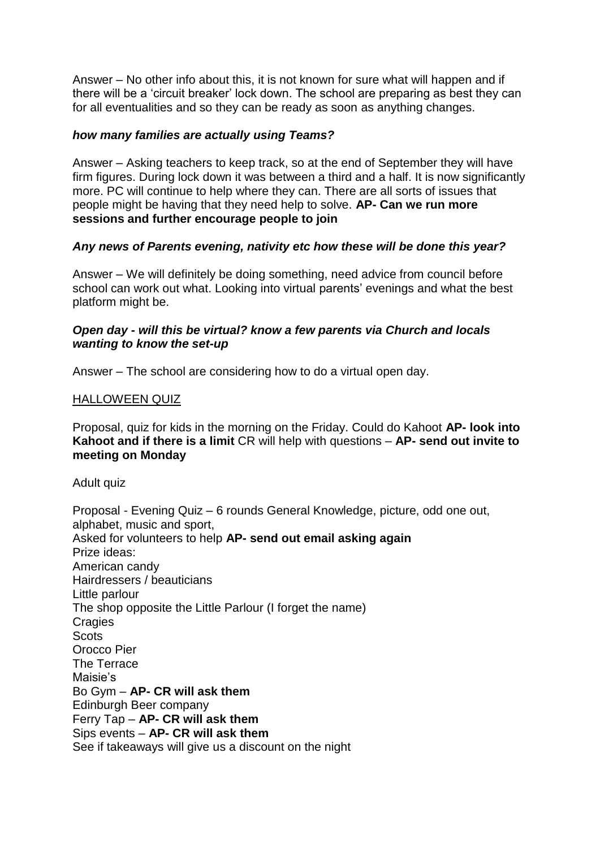Answer – No other info about this, it is not known for sure what will happen and if there will be a 'circuit breaker' lock down. The school are preparing as best they can for all eventualities and so they can be ready as soon as anything changes.

## *how many families are actually using Teams?*

Answer – Asking teachers to keep track, so at the end of September they will have firm figures. During lock down it was between a third and a half. It is now significantly more. PC will continue to help where they can. There are all sorts of issues that people might be having that they need help to solve. **AP- Can we run more sessions and further encourage people to join**

## *Any news of Parents evening, nativity etc how these will be done this year?*

Answer – We will definitely be doing something, need advice from council before school can work out what. Looking into virtual parents' evenings and what the best platform might be.

## *Open day - will this be virtual? know a few parents via Church and locals wanting to know the set-up*

Answer – The school are considering how to do a virtual open day.

## HALLOWEEN QUIZ

Proposal, quiz for kids in the morning on the Friday. Could do Kahoot **AP- look into Kahoot and if there is a limit** CR will help with questions – **AP- send out invite to meeting on Monday** 

Adult quiz

Proposal - Evening Quiz – 6 rounds General Knowledge, picture, odd one out, alphabet, music and sport, Asked for volunteers to help **AP- send out email asking again** Prize ideas: American candy Hairdressers / beauticians Little parlour The shop opposite the Little Parlour (I forget the name) **Cragies Scots** Orocco Pier The Terrace Maisie's Bo Gym – **AP- CR will ask them**  Edinburgh Beer company Ferry Tap – **AP- CR will ask them** Sips events – **AP- CR will ask them** See if takeaways will give us a discount on the night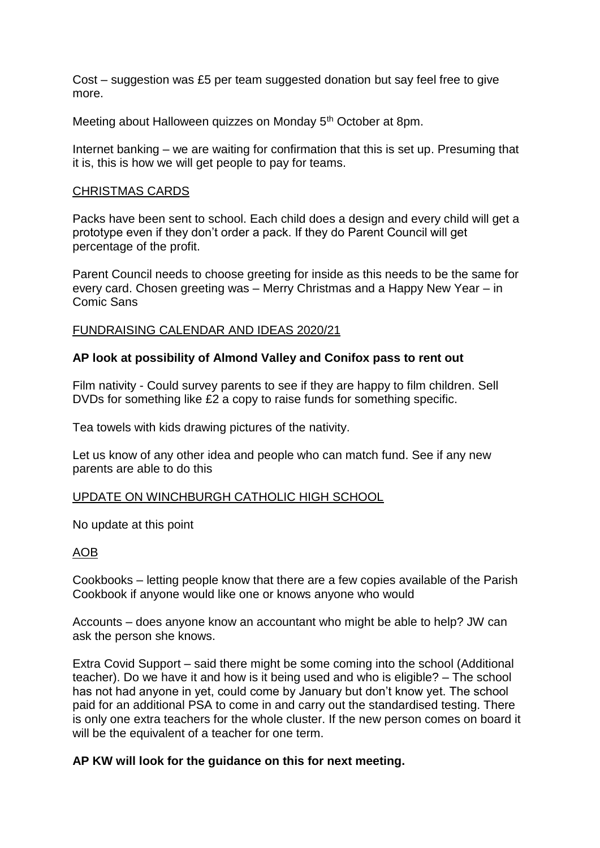Cost – suggestion was £5 per team suggested donation but say feel free to give more.

Meeting about Halloween quizzes on Monday 5<sup>th</sup> October at 8pm.

Internet banking – we are waiting for confirmation that this is set up. Presuming that it is, this is how we will get people to pay for teams.

#### CHRISTMAS CARDS

Packs have been sent to school. Each child does a design and every child will get a prototype even if they don't order a pack. If they do Parent Council will get percentage of the profit.

Parent Council needs to choose greeting for inside as this needs to be the same for every card. Chosen greeting was – Merry Christmas and a Happy New Year – in Comic Sans

## FUNDRAISING CALENDAR AND IDEAS 2020/21

## **AP look at possibility of Almond Valley and Conifox pass to rent out**

Film nativity - Could survey parents to see if they are happy to film children. Sell DVDs for something like £2 a copy to raise funds for something specific.

Tea towels with kids drawing pictures of the nativity.

Let us know of any other idea and people who can match fund. See if any new parents are able to do this

#### UPDATE ON WINCHBURGH CATHOLIC HIGH SCHOOL

No update at this point

## AOB

Cookbooks – letting people know that there are a few copies available of the Parish Cookbook if anyone would like one or knows anyone who would

Accounts – does anyone know an accountant who might be able to help? JW can ask the person she knows.

Extra Covid Support – said there might be some coming into the school (Additional teacher). Do we have it and how is it being used and who is eligible? – The school has not had anyone in yet, could come by January but don't know yet. The school paid for an additional PSA to come in and carry out the standardised testing. There is only one extra teachers for the whole cluster. If the new person comes on board it will be the equivalent of a teacher for one term.

## **AP KW will look for the guidance on this for next meeting.**